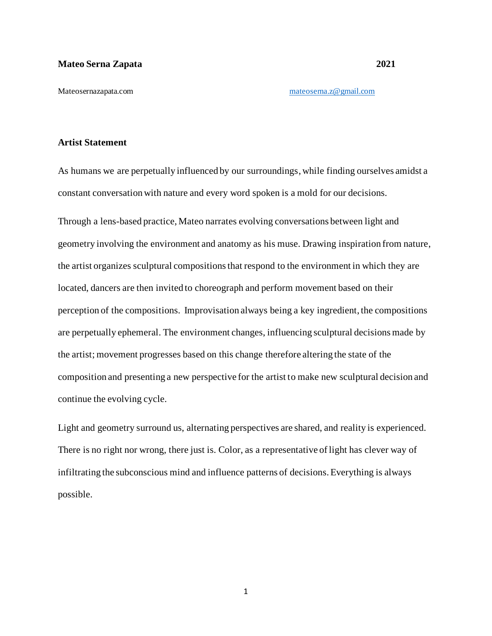Mateosernazapata.com [mateoserna.z@gmail.com](mailto:mateoserna.z@gmail.com)

## **Artist Statement**

As humans we are perpetually influenced by our surroundings, while finding ourselves amidst a constant conversation with nature and every word spoken is a mold for our decisions.

Through a lens-based practice, Mateo narrates evolving conversations between light and geometry involving the environment and anatomy as his muse. Drawing inspiration from nature, the artist organizes sculptural compositions that respond to the environment in which they are located, dancers are then invited to choreograph and perform movement based on their perception of the compositions. Improvisation always being a key ingredient, the compositions are perpetually ephemeral. The environment changes, influencing sculptural decisions made by the artist; movement progresses based on this change therefore altering the state of the composition and presenting a new perspective for the artist to make new sculptural decision and continue the evolving cycle.

Light and geometry surround us, alternating perspectives are shared, and reality is experienced. There is no right nor wrong, there just is. Color, as a representative of light has clever way of infiltrating the subconscious mind and influence patterns of decisions. Everything is always possible.